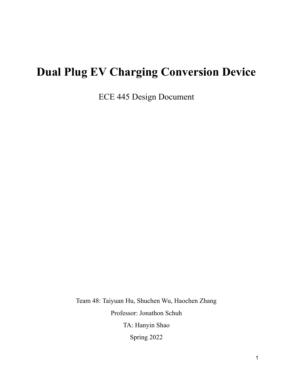# **Dual Plug EV Charging Conversion Device**

ECE 445 Design Document

Team 48: Taiyuan Hu, Shuchen Wu, Haochen Zhang Professor: Jonathon Schuh TA: Hanyin Shao Spring 2022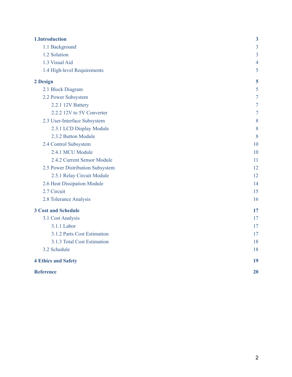| 1.Introduction                   | $\boldsymbol{3}$ |
|----------------------------------|------------------|
| 1.1 Background                   | 3                |
| 1.2 Solution                     | $\overline{3}$   |
| 1.3 Visual Aid                   | $\overline{4}$   |
| 1.4 High-level Requirements      | 5                |
| 2 Design                         | 5                |
| 2.1 Block Diagram                | 5                |
| 2.2 Power Subsystem              | $\overline{7}$   |
| 2.2.1 12V Battery                | $\overline{7}$   |
| 2.2.2 12V to 5V Converter        | $\overline{7}$   |
| 2.3 User-Interface Subsystem     | 8                |
| 2.3.1 LCD Display Module         | 8                |
| 2.3.2 Button Module              | 8                |
| 2.4 Control Subsystem            | 10               |
| 2.4.1 MCU Module                 | 10               |
| 2.4.2 Current Sensor Module      | 11               |
| 2.5 Power Distribution Subsystem | 12               |
| 2.5.1 Relay Circuit Module       | 12               |
| 2.6 Heat Dissipation Module      | 14               |
| 2.7 Circuit                      | 15               |
| 2.8 Tolerance Analysis           | 16               |
| <b>3 Cost and Schedule</b>       | 17               |
| 3.1 Cost Analysis                | 17               |
| 3.1.1 Labor                      | 17               |
| 3.1.2 Parts Cost Estimation      | 17               |
| 3.1.3 Total Cost Estimation      | 18               |
| 3.2 Schedule                     | 18               |
| <b>4 Ethics and Safety</b>       | 19               |
| <b>Reference</b>                 | 20               |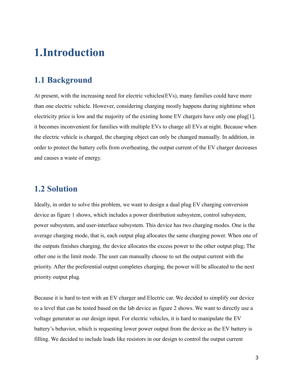## <span id="page-2-0"></span>**1.Introduction**

### <span id="page-2-1"></span>**1.1 Background**

At present, with the increasing need for electric vehicles(EVs), many families could have more than one electric vehicle. However, considering charging mostly happens during nighttime when electricity price is low and the majority of the existing home EV chargers have only one plug[1], it becomes inconvenient for families with multiple EVs to charge all EVs at night. Because when the electric vehicle is charged, the charging object can only be changed manually. In addition, in order to protect the battery cells from overheating, the output current of the EV charger decreases and causes a waste of energy.

#### <span id="page-2-2"></span>**1.2 Solution**

Ideally, in order to solve this problem, we want to design a dual plug EV charging conversion device as figure 1 shows, which includes a power distribution subsystem, control subsystem, power subsystem, and user-interface subsystem. This device has two charging modes. One is the average charging mode, that is, each output plug allocates the same charging power. When one of the outputs finishes charging, the device allocates the excess power to the other output plug; The other one is the limit mode. The user can manually choose to set the output current with the priority. After the preferential output completes charging, the power will be allocated to the next priority output plug.

Because it is hard to test with an EV charger and Electric car. We decided to simplify our device to a level that can be tested based on the lab device as figure 2 shows. We want to directly use a voltage generator as our design input. For electric vehicles, it is hard to manipulate the EV battery's behavior, which is requesting lower power output from the device as the EV battery is filling. We decided to include loads like resistors in our design to control the output current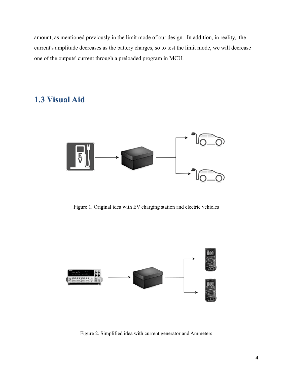amount, as mentioned previously in the limit mode of our design. In addition, in reality, the current's amplitude decreases as the battery charges, so to test the limit mode, we will decrease one of the outputs' current through a preloaded program in MCU.

### <span id="page-3-0"></span>**1.3 Visual Aid**



Figure 1. Original idea with EV charging station and electric vehicles



Figure 2. Simplified idea with current generator and Ammeters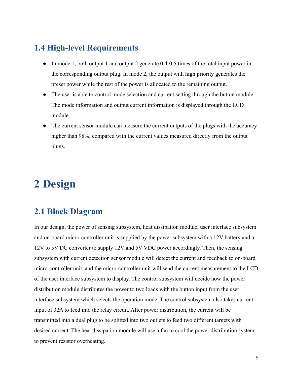### <span id="page-4-0"></span>**1.4 High-level Requirements**

- In mode 1, both output 1 and output 2 generate 0.4-0.5 times of the total input power in the corresponding output plug. In mode 2, the output with high priority generates the preset power while the rest of the power is allocated to the remaining output.
- The user is able to control mode selection and current setting through the button module. The mode information and output current information is displayed through the LCD module.
- The current sensor module can measure the current outputs of the plugs with the accuracy higher than 98%, compared with the current values measured directly from the output plugs.

# <span id="page-4-1"></span>**2 Design**

#### <span id="page-4-2"></span>**2.1 Block Diagram**

In our design, the power of sensing subsystem, heat dissipation module, user interface subsystem and on-board micro-controller unit is supplied by the power subsystem with a 12V battery and a 12V to 5V DC converter to supply 12V and 5V VDC power accordingly. Then, the sensing subsystem with current detection sensor module will detect the current and feedback to on-board micro-controller unit, and the micro-controller unit will send the current measurement to the LCD of the user interface subsystem to display. The control subsystem will decide how the power distribution module distributes the power to two loads with the button input from the user interface subsystem which selects the operation mode. The control subsystem also takes current input of 32A to feed into the relay circuit. After power distribution, the current will be transmitted into a dual plug to be splitted into two outlets to feed two different targets with desired current. The heat dissipation module will use a fan to cool the power distribution system to prevent resistor overheating.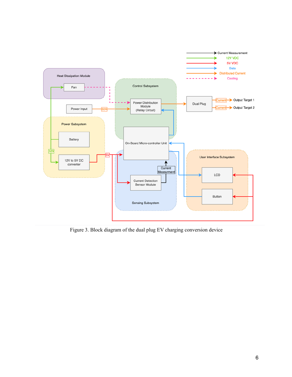

Figure 3. Block diagram of the dual plug EV charging conversion device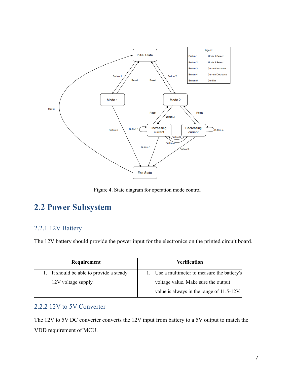

Figure 4. State diagram for operation mode control

## <span id="page-6-0"></span>**2.2 Power Subsystem**

#### <span id="page-6-1"></span>2.2.1 12V Battery

The 12V battery should provide the power input for the electronics on the printed circuit board.

| Requirement                              | Verification                                 |
|------------------------------------------|----------------------------------------------|
| 1. It should be able to provide a steady | 1. Use a multimeter to measure the battery's |
| 12V voltage supply.                      | voltage value. Make sure the output          |
|                                          | value is always in the range of $11.5-12V$ . |

#### <span id="page-6-2"></span>2.2.2 12V to 5V Converter

The 12V to 5V DC converter converts the 12V input from battery to a 5V output to match the VDD requirement of MCU.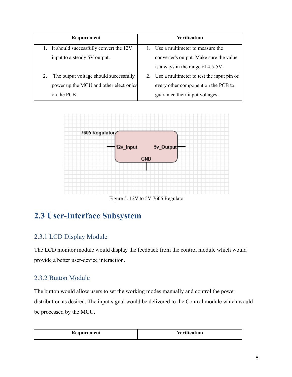| Requirement                                  | Verification                                 |
|----------------------------------------------|----------------------------------------------|
| It should successfully convert the 12V       | Use a multimeter to measure the              |
| input to a steady 5V output.                 | converter's output. Make sure the value      |
|                                              | is always in the range of 4.5-5V.            |
| The output voltage should successfully<br>2. | 2. Use a multimeter to test the input pin of |
| power up the MCU and other electronics       | every other component on the PCB to          |
| on the PCB.                                  | guarantee their input voltages.              |



Figure 5. 12V to 5V 7605 Regulator

## <span id="page-7-0"></span>**2.3 User-Interface Subsystem**

#### <span id="page-7-1"></span>2.3.1 LCD Display Module

The LCD monitor module would display the feedback from the control module which would provide a better user-device interaction.

#### <span id="page-7-2"></span>2.3.2 Button Module

The button would allow users to set the working modes manually and control the power distribution as desired. The input signal would be delivered to the Control module which would be processed by the MCU.

| Requirement | $\mathbf{V}$<br>tion |
|-------------|----------------------|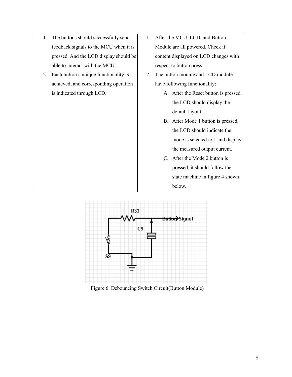- 1. The buttons should successfully send feedback signals to the MCU when it is pressed. And the LCD display should be able to interact with the MCU.
- 2. Each button's unique functionality is achieved, and corresponding operation is indicated through LCD.
- 1. After the MCU, LCD, and Button Module are all powered. Check if content displayed on LCD changes with respect to button press.
- 2. The button module and LCD module have following functionality:
	- A. After the Reset button is pressed, the LCD should display the default layout.
	- B. After Mode 1 button is pressed, the LCD should indicate the mode is selected to 1 and display the measured output current.
	- C. After the Mode 2 button is pressed, it should follow the state machine in figure 4 shown below.



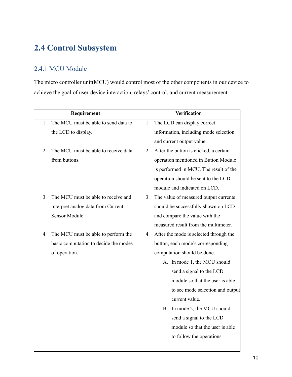## <span id="page-9-0"></span>**2.4 Control Subsystem**

#### <span id="page-9-1"></span>2.4.1 MCU Module

The micro controller unit(MCU) would control most of the other components in our device to achieve the goal of user-device interaction, relays' control, and current measurement.

| Requirement                                | <b>Verification</b>                          |  |  |
|--------------------------------------------|----------------------------------------------|--|--|
| The MCU must be able to send data to<br>1. | The LCD can display correct<br>1.            |  |  |
| the LCD to display.                        | information, including mode selection        |  |  |
|                                            | and current output value.                    |  |  |
| The MCU must be able to receive data<br>2. | After the button is clicked, a certain<br>2. |  |  |
| from buttons.                              | operation mentioned in Button Module         |  |  |
|                                            | is performed in MCU. The result of the       |  |  |
|                                            | operation should be sent to the LCD          |  |  |
|                                            | module and indicated on LCD.                 |  |  |
| The MCU must be able to receive and<br>3.  | The value of measured output currents<br>3.  |  |  |
| interpret analog data from Current         | should be successfully shown on LCD          |  |  |
| Sensor Module.                             | and compare the value with the               |  |  |
|                                            | measured result from the multimeter.         |  |  |
| The MCU must be able to perform the<br>4.  | After the mode is selected through the<br>4. |  |  |
| basic computation to decide the modes      | button, each mode's corresponding            |  |  |
| of operation.                              | computation should be done.                  |  |  |
|                                            | A. In mode 1, the MCU should                 |  |  |
|                                            | send a signal to the LCD                     |  |  |
|                                            | module so that the user is able              |  |  |
|                                            | to see mode selection and output             |  |  |
|                                            | current value.                               |  |  |
|                                            | B. In mode 2, the MCU should                 |  |  |
|                                            | send a signal to the LCD                     |  |  |
|                                            | module so that the user is able              |  |  |
|                                            | to follow the operations                     |  |  |
|                                            |                                              |  |  |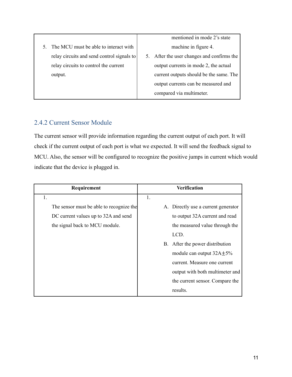5. The MCU must be able to interact with relay circuits and send control signals to relay circuits to control the current output. mentioned in mode 2's state machine in figure 4. 5. After the user changes and confirms the output currents in mode 2, the actual current outputs should be the same. The output currents can be measured and compared via multimeter.

#### <span id="page-10-0"></span>2.4.2 Current Sensor Module

The current sensor will provide information regarding the current output of each port. It will check if the current output of each port is what we expected. It will send the feedback signal to MCU. Also, the sensor will be configured to recognize the positive jumps in current which would indicate that the device is plugged in.

| Requirement                              | Verification                        |  |
|------------------------------------------|-------------------------------------|--|
| 1.                                       | 1.                                  |  |
| The sensor must be able to recognize the | A. Directly use a current generator |  |
| DC current values up to 32A and send     | to output 32A current and read      |  |
| the signal back to MCU module.           | the measured value through the      |  |
|                                          | LCD.                                |  |
|                                          | B. After the power distribution     |  |
|                                          | module can output $32A \pm 5\%$     |  |
|                                          | current. Measure one current        |  |
|                                          | output with both multimeter and     |  |
|                                          | the current sensor. Compare the     |  |
|                                          | results.                            |  |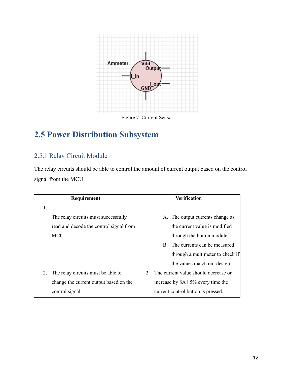

Figure 7. Current Sensor

## <span id="page-11-0"></span>**2.5 Power Distribution Subsystem**

#### <span id="page-11-1"></span>2.5.1 Relay Circuit Module

The relay circuits should be able to control the amount of current output based on the control signal from the MCU.

|    | Requirement                             |                                         |  | <b>Verification</b>                  |
|----|-----------------------------------------|-----------------------------------------|--|--------------------------------------|
| 1. |                                         | 1.                                      |  |                                      |
|    | The relay circuits must successfully    |                                         |  | A. The output currents change as     |
|    | read and decode the control signal from |                                         |  | the current value is modified        |
|    | MCU.                                    |                                         |  | through the button module.           |
|    |                                         |                                         |  | B. The currents can be measured      |
|    |                                         |                                         |  | through a multimeter to check if     |
|    |                                         |                                         |  | the values match our design.         |
| 2. | The relay circuits must be able to      |                                         |  | The current value should decrease or |
|    | change the current output based on the  | increase by $8A \pm 5\%$ every time the |  |                                      |
|    | control signal.                         |                                         |  | current control button is pressed.   |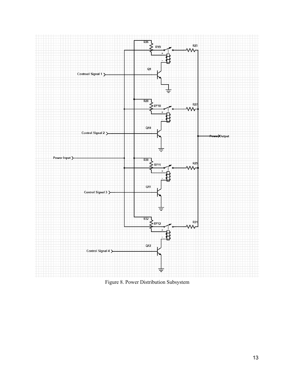

Figure 8. Power Distribution Subsystem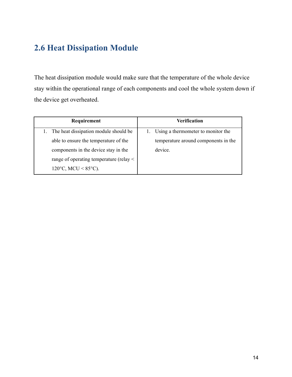## **2.6 Heat Dissipation Module**

The heat dissipation module would make sure that the temperature of the whole device stay within the operational range of each components and cool the whole system down if the device get overheated.

| Requirement                                  | Verification                         |
|----------------------------------------------|--------------------------------------|
| The heat dissipation module should be        | Using a thermometer to monitor the   |
| able to ensure the temperature of the        | temperature around components in the |
| components in the device stay in the         | device.                              |
| range of operating temperature (relay $\leq$ |                                      |
| 120°C, MCU < $85^{\circ}$ C).                |                                      |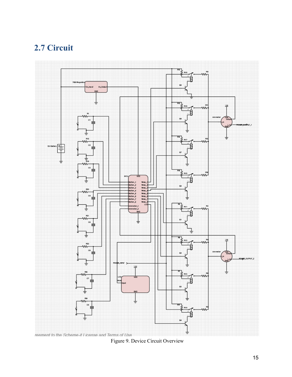## <span id="page-14-0"></span>**2.7 Circuit**



Figure 9. Device Circuit Overview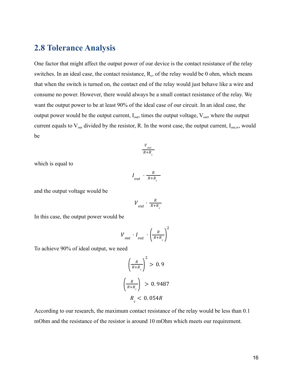#### <span id="page-15-0"></span>**2.8 Tolerance Analysis**

One factor that might affect the output power of our device is the contact resistance of the relay switches. In an ideal case, the contact resistance,  $R_c$ , of the relay would be 0 ohm, which means that when the switch is turned on, the contact end of the relay would just behave like a wire and consume no power. However, there would always be a small contact resistance of the relay. We want the output power to be at least 90% of the ideal case of our circuit. In an ideal case, the output power would be the output current,  $I_{out}$ , times the output voltage,  $V_{out}$ , where the output current equals to  $V_{\text{out}}$  divided by the resistor, R. In the worst case, the output current,  $I_{\text{out},w}$ , would be

$$
\frac{V_{out}}{R+R_c}
$$

which is equal to

$$
I_{out} \cdot \frac{R}{R+R_c}
$$

and the output voltage would be

$$
V_{out} \cdot \frac{R}{R+R_c}
$$

In this case, the output power would be

$$
V_{out} \cdot I_{out} \cdot \left(\frac{R}{R+R_c}\right)^2
$$

To achieve 90% of ideal output, we need

$$
\left(\frac{R}{R+R_c}\right)^2 > 0.9
$$
  

$$
\left(\frac{R}{R+R_c}\right) > 0.9487
$$
  

$$
R_c < 0.054R
$$

According to our research, the maximum contact resistance of the relay would be less than 0.1 mOhm and the resistance of the resistor is around 10 mOhm which meets our requirement.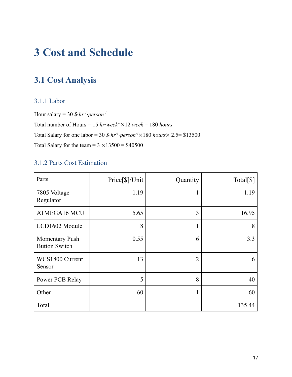# <span id="page-16-0"></span>**3 Cost and Schedule**

## <span id="page-16-1"></span>**3.1 Cost Analysis**

#### <span id="page-16-2"></span>3.1.1 Labor

Hour salary = 30  $\text{\textsterling} \cdot \text{hr}^{-1} \cdot \text{person}^{-1}$ Total number of Hours =  $15$   $hr$ *week<sup>-1</sup>* $\times$ 12 *week* = 180 *hours* Total Salary for one labor = 30  $\frac{\partial \cdot hr^1 \cdot person^{-1} \times 180 \text{ hours}}{2.5}$  \$13500 Total Salary for the team =  $3 \times 13500 = $40500$ 

#### <span id="page-16-3"></span>3.1.2 Parts Cost Estimation

| Parts                                         | Price[\$]/Unit | Quantity       | Total <sup>[\$]</sup> |
|-----------------------------------------------|----------------|----------------|-----------------------|
| 7805 Voltage<br>Regulator                     | 1.19           |                | 1.19                  |
| ATMEGA16 MCU                                  | 5.65           | 3              | 16.95                 |
| LCD1602 Module                                | 8              | $\mathbf{1}$   | 8                     |
| <b>Momentary Push</b><br><b>Button Switch</b> | 0.55           | 6              | 3.3                   |
| WCS1800 Current<br>Sensor                     | 13             | $\overline{2}$ | 6                     |
| Power PCB Relay                               | 5              | 8              | 40                    |
| Other                                         | 60             |                | 60                    |
| Total                                         |                |                | 135.44                |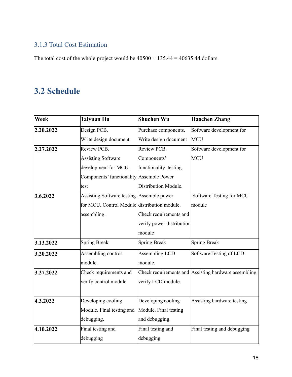#### <span id="page-17-0"></span>3.1.3 Total Cost Estimation

The total cost of the whole project would be  $40500 + 135.44 = 40635.44$  dollars.

## <span id="page-17-1"></span>**3.2 Schedule**

| <b>Week</b> | <b>Taiyuan Hu</b>                            | Shuchen Wu                | <b>Haochen Zhang</b>                                 |
|-------------|----------------------------------------------|---------------------------|------------------------------------------------------|
| 2.20.2022   | Design PCB.                                  | Purchase components.      | Software development for                             |
|             | Write design document.                       | Write design document     | MCU                                                  |
| 2.27.2022   | Review PCB.                                  | Review PCB.               | Software development for                             |
|             | <b>Assisting Software</b>                    | Components'               | <b>MCU</b>                                           |
|             | development for MCU.                         | functionality testing.    |                                                      |
|             | Components' functionality Assemble Power     |                           |                                                      |
|             | test                                         | Distribution Module.      |                                                      |
| 3.6.2022    | Assisting Software testing Assemble power    |                           | Software Testing for MCU                             |
|             | for MCU. Control Module distribution module. |                           | module                                               |
|             | assembling.                                  | Check requirements and    |                                                      |
|             |                                              | verify power distribution |                                                      |
|             |                                              | module                    |                                                      |
| 3.13.2022   | Spring Break                                 | <b>Spring Break</b>       | Spring Break                                         |
| 3.20.2022   | Assembling control                           | Assembling LCD            | Software Testing of LCD                              |
|             | module.                                      | module.                   |                                                      |
| 3.27.2022   | Check requirements and                       |                           | Check requirements and Assisting hardware assembling |
|             | verify control module                        | verify LCD module.        |                                                      |
|             |                                              |                           |                                                      |
| 4.3.2022    | Developing cooling                           | Developing cooling        | Assisting hardware testing                           |
|             | Module. Final testing and                    | Module. Final testing     |                                                      |
|             | debugging.                                   | and debugging.            |                                                      |
| 4.10.2022   | Final testing and                            | Final testing and         | Final testing and debugging                          |
|             | debugging                                    | debugging                 |                                                      |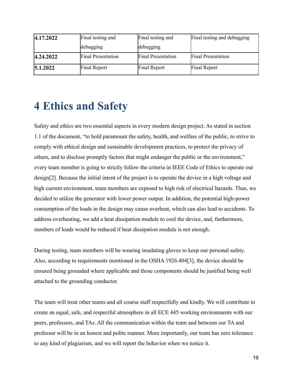| 4.17.2022 | Final testing and         | Final testing and         | Final testing and debugging |
|-----------|---------------------------|---------------------------|-----------------------------|
|           | debugging                 | debugging                 |                             |
| 4.24.2022 | <b>Final Presentation</b> | <b>Final Presentation</b> | <b>Final Presentation</b>   |
| 5.1.2022  | Final Report              | Final Report              | Final Report                |

## <span id="page-18-0"></span>**4 Ethics and Safety**

Safety and ethics are two essential aspects in every modern design project. As stated in section 1.1 of the document, "to hold paramount the safety, health, and welfare of the public, to strive to comply with ethical design and sustainable development practices, to protect the privacy of others, and to disclose promptly factors that might endanger the public or the environment," every team member is going to strictly follow the criteria in IEEE Code of Ethics to operate our design[2]. Because the initial intent of the project is to operate the device in a high voltage and high current environment, team members are exposed to high risk of electrical hazards. Thus, we decided to utilize the generator with lower power output. In addition, the potential high-power consumption of the loads in the design may cause overheat, which can also lead to accidents. To address overheating, we add a heat dissipation module to cool the device, and, furthermore, numbers of loads would be reduced if heat dissipation module is not enough.

During testing, team members will be wearing insulating gloves to keep our personal safety. Also, according to requirements mentioned in the OSHA 1926.404[3], the device should be ensured being grounded where applicable and those components should be justified being well attached to the grounding conductor.

The team will treat other teams and all course staff respectfully and kindly. We will contribute to create an equal, safe, and respectful atmosphere in all ECE 445 working environments with our peers, professors, and TAs. All the communication within the team and between our TA and professor will be in an honest and polite manner. More importantly, our team has zero tolerance to any kind of plagiarism, and we will report the behavior when we notice it.